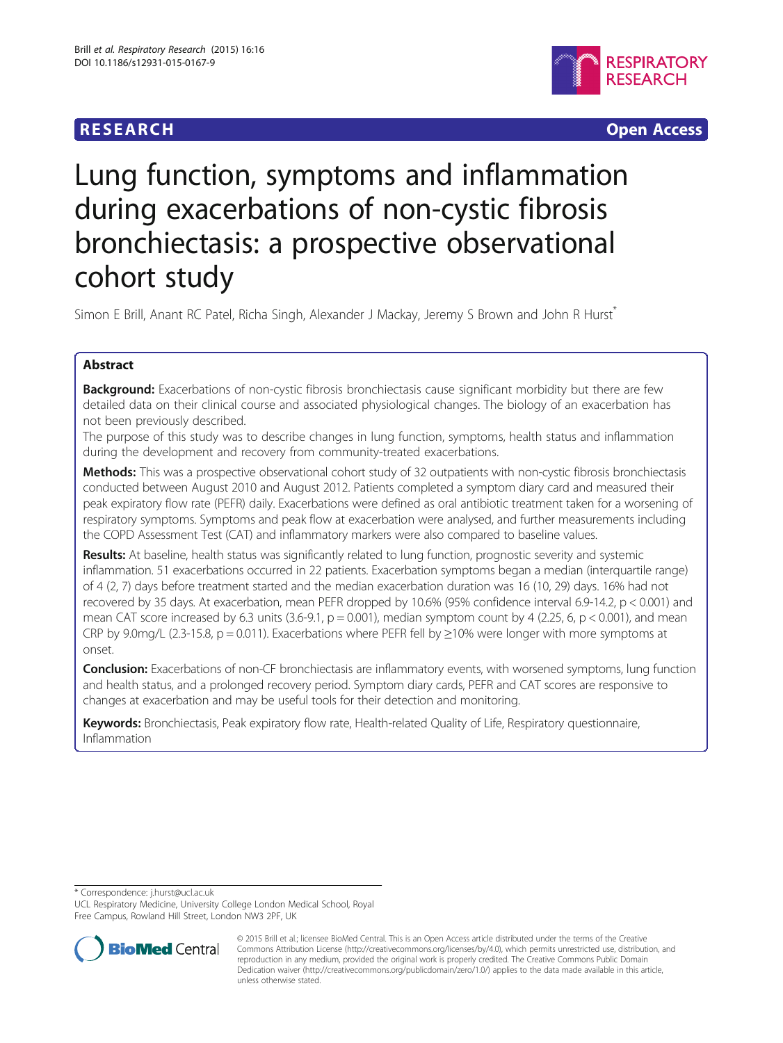## **RESEARCH CHEAR CHEAR CHEAR CHEAR CHEAR CHEAR CHEAR CHEAR CHEAR CHEAR CHEAR CHEAR CHEAR CHEAR CHEAR CHEAR CHEAR**



# Lung function, symptoms and inflammation during exacerbations of non-cystic fibrosis bronchiectasis: a prospective observational cohort study

Simon E Brill, Anant RC Patel, Richa Singh, Alexander J Mackay, Jeremy S Brown and John R Hurst\*

## Abstract

**Background:** Exacerbations of non-cystic fibrosis bronchiectasis cause significant morbidity but there are few detailed data on their clinical course and associated physiological changes. The biology of an exacerbation has not been previously described.

The purpose of this study was to describe changes in lung function, symptoms, health status and inflammation during the development and recovery from community-treated exacerbations.

Methods: This was a prospective observational cohort study of 32 outpatients with non-cystic fibrosis bronchiectasis conducted between August 2010 and August 2012. Patients completed a symptom diary card and measured their peak expiratory flow rate (PEFR) daily. Exacerbations were defined as oral antibiotic treatment taken for a worsening of respiratory symptoms. Symptoms and peak flow at exacerbation were analysed, and further measurements including the COPD Assessment Test (CAT) and inflammatory markers were also compared to baseline values.

Results: At baseline, health status was significantly related to lung function, prognostic severity and systemic inflammation. 51 exacerbations occurred in 22 patients. Exacerbation symptoms began a median (interquartile range) of 4 (2, 7) days before treatment started and the median exacerbation duration was 16 (10, 29) days. 16% had not recovered by 35 days. At exacerbation, mean PEFR dropped by 10.6% (95% confidence interval 6.9-14.2, p < 0.001) and mean CAT score increased by 6.3 units  $(3.6-9.1, p = 0.001)$ , median symptom count by 4  $(2.25, 6, p < 0.001)$ , and mean CRP by 9.0mg/L (2.3-15.8,  $p = 0.011$ ). Exacerbations where PEFR fell by  $\geq$ 10% were longer with more symptoms at onset.

**Conclusion:** Exacerbations of non-CF bronchiectasis are inflammatory events, with worsened symptoms, lung function and health status, and a prolonged recovery period. Symptom diary cards, PEFR and CAT scores are responsive to changes at exacerbation and may be useful tools for their detection and monitoring.

Keywords: Bronchiectasis, Peak expiratory flow rate, Health-related Quality of Life, Respiratory questionnaire, Inflammation

\* Correspondence: [j.hurst@ucl.ac.uk](mailto:j.hurst@ucl.ac.uk)

UCL Respiratory Medicine, University College London Medical School, Royal Free Campus, Rowland Hill Street, London NW3 2PF, UK



<sup>© 2015</sup> Brill et al.; licensee BioMed Central. This is an Open Access article distributed under the terms of the Creative Commons Attribution License [\(http://creativecommons.org/licenses/by/4.0\)](http://creativecommons.org/licenses/by/4.0), which permits unrestricted use, distribution, and reproduction in any medium, provided the original work is properly credited. The Creative Commons Public Domain Dedication waiver [\(http://creativecommons.org/publicdomain/zero/1.0/](http://creativecommons.org/publicdomain/zero/1.0/)) applies to the data made available in this article, unless otherwise stated.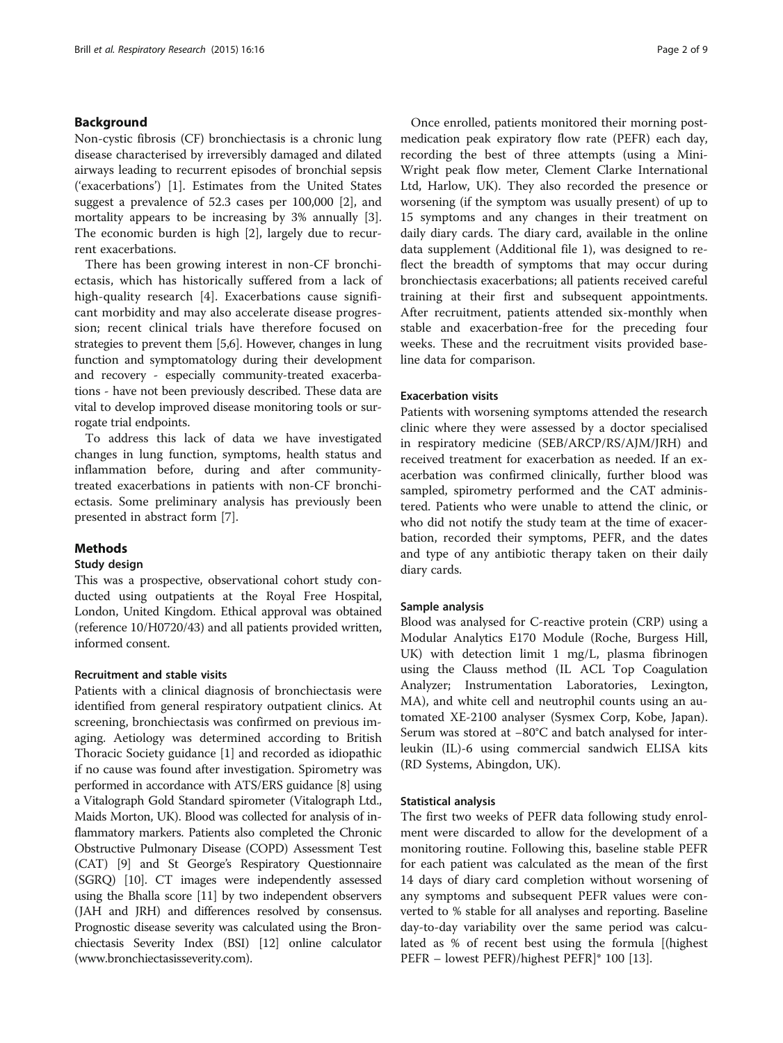#### Background

Non-cystic fibrosis (CF) bronchiectasis is a chronic lung disease characterised by irreversibly damaged and dilated airways leading to recurrent episodes of bronchial sepsis ('exacerbations') [[1\]](#page-8-0). Estimates from the United States suggest a prevalence of 52.3 cases per 100,000 [\[2](#page-8-0)], and mortality appears to be increasing by 3% annually [\[3](#page-8-0)]. The economic burden is high [\[2](#page-8-0)], largely due to recurrent exacerbations.

There has been growing interest in non-CF bronchiectasis, which has historically suffered from a lack of high-quality research [\[4](#page-8-0)]. Exacerbations cause significant morbidity and may also accelerate disease progression; recent clinical trials have therefore focused on strategies to prevent them [[5,6](#page-8-0)]. However, changes in lung function and symptomatology during their development and recovery - especially community-treated exacerbations - have not been previously described. These data are vital to develop improved disease monitoring tools or surrogate trial endpoints.

To address this lack of data we have investigated changes in lung function, symptoms, health status and inflammation before, during and after communitytreated exacerbations in patients with non-CF bronchiectasis. Some preliminary analysis has previously been presented in abstract form [\[7](#page-8-0)].

#### Methods

#### Study design

This was a prospective, observational cohort study conducted using outpatients at the Royal Free Hospital, London, United Kingdom. Ethical approval was obtained (reference 10/H0720/43) and all patients provided written, informed consent.

## Recruitment and stable visits

Patients with a clinical diagnosis of bronchiectasis were identified from general respiratory outpatient clinics. At screening, bronchiectasis was confirmed on previous imaging. Aetiology was determined according to British Thoracic Society guidance [[1](#page-8-0)] and recorded as idiopathic if no cause was found after investigation. Spirometry was performed in accordance with ATS/ERS guidance [\[8\]](#page-8-0) using a Vitalograph Gold Standard spirometer (Vitalograph Ltd., Maids Morton, UK). Blood was collected for analysis of inflammatory markers. Patients also completed the Chronic Obstructive Pulmonary Disease (COPD) Assessment Test (CAT) [\[9\]](#page-8-0) and St George's Respiratory Questionnaire (SGRQ) [\[10\]](#page-8-0). CT images were independently assessed using the Bhalla score [[11](#page-8-0)] by two independent observers (JAH and JRH) and differences resolved by consensus. Prognostic disease severity was calculated using the Bronchiectasis Severity Index (BSI) [[12](#page-8-0)] online calculator ([www.bronchiectasisseverity.com](http://www.bronchiectasisseverity.com/)).

Once enrolled, patients monitored their morning postmedication peak expiratory flow rate (PEFR) each day, recording the best of three attempts (using a Mini-Wright peak flow meter, Clement Clarke International Ltd, Harlow, UK). They also recorded the presence or worsening (if the symptom was usually present) of up to 15 symptoms and any changes in their treatment on daily diary cards. The diary card, available in the online data supplement (Additional file [1\)](#page-8-0), was designed to reflect the breadth of symptoms that may occur during bronchiectasis exacerbations; all patients received careful training at their first and subsequent appointments. After recruitment, patients attended six-monthly when stable and exacerbation-free for the preceding four weeks. These and the recruitment visits provided baseline data for comparison.

#### Exacerbation visits

Patients with worsening symptoms attended the research clinic where they were assessed by a doctor specialised in respiratory medicine (SEB/ARCP/RS/AJM/JRH) and received treatment for exacerbation as needed. If an exacerbation was confirmed clinically, further blood was sampled, spirometry performed and the CAT administered. Patients who were unable to attend the clinic, or who did not notify the study team at the time of exacerbation, recorded their symptoms, PEFR, and the dates and type of any antibiotic therapy taken on their daily diary cards.

#### Sample analysis

Blood was analysed for C-reactive protein (CRP) using a Modular Analytics E170 Module (Roche, Burgess Hill, UK) with detection limit 1 mg/L, plasma fibrinogen using the Clauss method (IL ACL Top Coagulation Analyzer; Instrumentation Laboratories, Lexington, MA), and white cell and neutrophil counts using an automated XE-2100 analyser (Sysmex Corp, Kobe, Japan). Serum was stored at −80°C and batch analysed for interleukin (IL)-6 using commercial sandwich ELISA kits (RD Systems, Abingdon, UK).

#### Statistical analysis

The first two weeks of PEFR data following study enrolment were discarded to allow for the development of a monitoring routine. Following this, baseline stable PEFR for each patient was calculated as the mean of the first 14 days of diary card completion without worsening of any symptoms and subsequent PEFR values were converted to % stable for all analyses and reporting. Baseline day-to-day variability over the same period was calculated as % of recent best using the formula [(highest PEFR – lowest PEFR)/highest PEFR]\* 100 [\[13](#page-8-0)].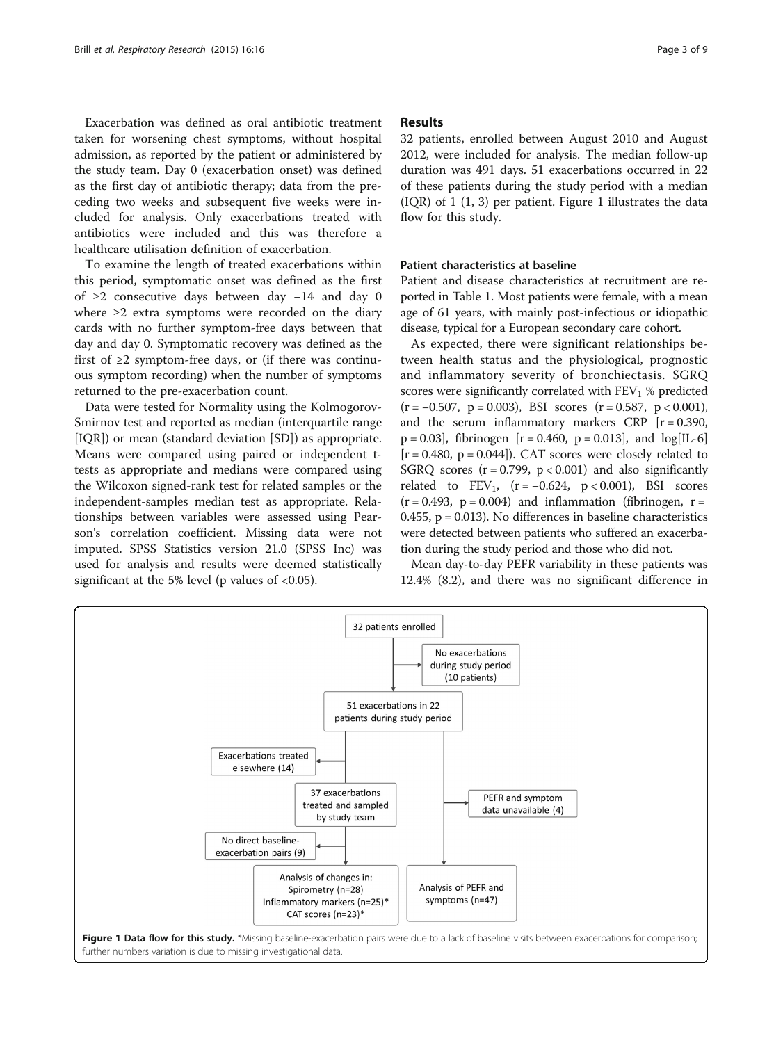Exacerbation was defined as oral antibiotic treatment taken for worsening chest symptoms, without hospital admission, as reported by the patient or administered by the study team. Day 0 (exacerbation onset) was defined as the first day of antibiotic therapy; data from the preceding two weeks and subsequent five weeks were included for analysis. Only exacerbations treated with antibiotics were included and this was therefore a healthcare utilisation definition of exacerbation.

To examine the length of treated exacerbations within this period, symptomatic onset was defined as the first of ≥2 consecutive days between day −14 and day 0 where ≥2 extra symptoms were recorded on the diary cards with no further symptom-free days between that day and day 0. Symptomatic recovery was defined as the first of  $\geq 2$  symptom-free days, or (if there was continuous symptom recording) when the number of symptoms returned to the pre-exacerbation count.

Data were tested for Normality using the Kolmogorov-Smirnov test and reported as median (interquartile range [IQR]) or mean (standard deviation [SD]) as appropriate. Means were compared using paired or independent ttests as appropriate and medians were compared using the Wilcoxon signed-rank test for related samples or the independent-samples median test as appropriate. Relationships between variables were assessed using Pearson's correlation coefficient. Missing data were not imputed. SPSS Statistics version 21.0 (SPSS Inc) was used for analysis and results were deemed statistically significant at the 5% level (p values of  $<0.05$ ).

#### Results

32 patients, enrolled between August 2010 and August 2012, were included for analysis. The median follow-up duration was 491 days. 51 exacerbations occurred in 22 of these patients during the study period with a median (IQR) of 1 (1, 3) per patient. Figure 1 illustrates the data flow for this study.

## Patient characteristics at baseline

Patient and disease characteristics at recruitment are reported in Table [1.](#page-3-0) Most patients were female, with a mean age of 61 years, with mainly post-infectious or idiopathic disease, typical for a European secondary care cohort.

As expected, there were significant relationships between health status and the physiological, prognostic and inflammatory severity of bronchiectasis. SGRQ scores were significantly correlated with  $FEV<sub>1</sub>$  % predicted  $(r = -0.507, p = 0.003)$ , BSI scores  $(r = 0.587, p < 0.001)$ , and the serum inflammatory markers CRP  $[r = 0.390,$  $p = 0.03$ ], fibrinogen  $[r = 0.460, p = 0.013]$ , and  $log[IL-6]$  $[r = 0.480, p = 0.044]$ . CAT scores were closely related to SGRQ scores  $(r = 0.799, p < 0.001)$  and also significantly related to  $FEV_1$ ,  $(r = -0.624, p < 0.001)$ , BSI scores  $(r = 0.493, p = 0.004)$  and inflammation (fibrinogen, r = 0.455,  $p = 0.013$ ). No differences in baseline characteristics were detected between patients who suffered an exacerbation during the study period and those who did not.

Mean day-to-day PEFR variability in these patients was 12.4% (8.2), and there was no significant difference in

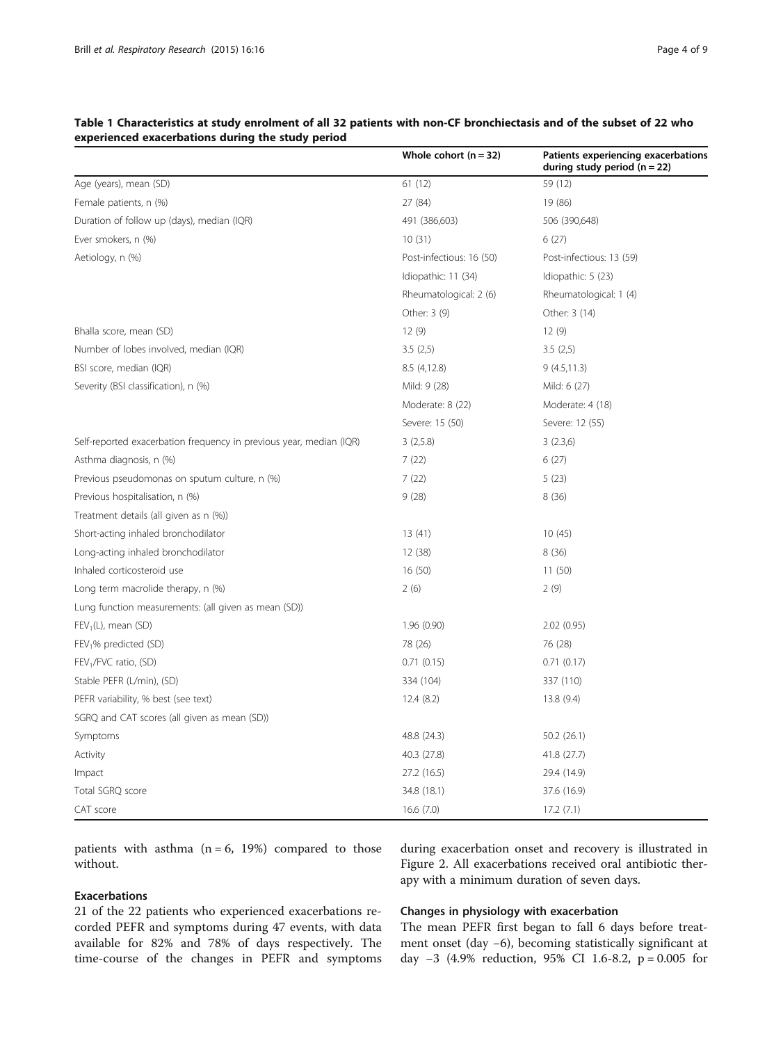|                                                                     | Whole cohort $(n = 32)$  | Patients experiencing exacerbations<br>during study period $(n = 22)$ |  |
|---------------------------------------------------------------------|--------------------------|-----------------------------------------------------------------------|--|
| Age (years), mean (SD)                                              | 61(12)                   | 59 (12)                                                               |  |
| Female patients, n (%)                                              | 27 (84)                  | 19 (86)                                                               |  |
| Duration of follow up (days), median (IQR)                          | 491 (386,603)            | 506 (390,648)                                                         |  |
| Ever smokers, n (%)                                                 | 10(31)                   | 6(27)                                                                 |  |
| Aetiology, n (%)                                                    | Post-infectious: 16 (50) | Post-infectious: 13 (59)                                              |  |
|                                                                     | Idiopathic: 11 (34)      | Idiopathic: 5 (23)                                                    |  |
|                                                                     | Rheumatological: 2 (6)   | Rheumatological: 1 (4)                                                |  |
|                                                                     | Other: 3 (9)             | Other: 3 (14)                                                         |  |
| Bhalla score, mean (SD)                                             | 12(9)                    | 12(9)                                                                 |  |
| Number of lobes involved, median (IQR)                              | 3.5(2,5)                 | 3.5(2,5)                                                              |  |
| BSI score, median (IQR)                                             | 8.5(4,12.8)              | 9(4.5, 11.3)                                                          |  |
| Severity (BSI classification), n (%)                                | Mild: 9 (28)             | Mild: 6 (27)                                                          |  |
|                                                                     | Moderate: 8 (22)         | Moderate: 4 (18)                                                      |  |
|                                                                     | Severe: 15 (50)          | Severe: 12 (55)                                                       |  |
| Self-reported exacerbation frequency in previous year, median (IQR) | 3(2,5.8)                 | 3(2.3,6)                                                              |  |
| Asthma diagnosis, n (%)                                             | 7(22)                    | 6(27)                                                                 |  |
| Previous pseudomonas on sputum culture, n (%)                       | 7(22)                    | 5(23)                                                                 |  |
| Previous hospitalisation, n (%)                                     | 9(28)                    | 8(36)                                                                 |  |
| Treatment details (all given as n (%))                              |                          |                                                                       |  |
| Short-acting inhaled bronchodilator                                 | 13(41)                   | 10(45)                                                                |  |
| Long-acting inhaled bronchodilator                                  | 12 (38)                  | 8(36)                                                                 |  |
| Inhaled corticosteroid use                                          | 16 (50)                  | 11(50)                                                                |  |
| Long term macrolide therapy, n (%)                                  | 2(6)                     | 2(9)                                                                  |  |
| Lung function measurements: (all given as mean (SD))                |                          |                                                                       |  |
| $FEV_1(L)$ , mean (SD)                                              | 1.96(0.90)               | 2.02(0.95)                                                            |  |
| FEV <sub>1</sub> % predicted (SD)                                   | 78 (26)                  | 76 (28)                                                               |  |
| FEV <sub>1</sub> /FVC ratio, (SD)                                   | 0.71(0.15)               | 0.71(0.17)                                                            |  |
| Stable PEFR (L/min), (SD)                                           | 334 (104)                | 337 (110)                                                             |  |
| PEFR variability, % best (see text)                                 | 12.4(8.2)                | 13.8(9.4)                                                             |  |
| SGRQ and CAT scores (all given as mean (SD))                        |                          |                                                                       |  |
| Symptoms                                                            | 48.8 (24.3)              | 50.2 (26.1)                                                           |  |
| Activity                                                            | 40.3 (27.8)              | 41.8 (27.7)                                                           |  |
| Impact                                                              | 27.2 (16.5)              | 29.4 (14.9)                                                           |  |
| Total SGRQ score                                                    | 34.8 (18.1)              | 37.6 (16.9)                                                           |  |
| CAT score                                                           | 16.6(7.0)                | 17.2(7.1)                                                             |  |

## <span id="page-3-0"></span>Table 1 Characteristics at study enrolment of all 32 patients with non-CF bronchiectasis and of the subset of 22 who experienced exacerbations during the study period

patients with asthma  $(n = 6, 19%)$  compared to those without.

## Exacerbations

during exacerbation onset and recovery is illustrated in Figure [2](#page-4-0). All exacerbations received oral antibiotic therapy with a minimum duration of seven days.

21 of the 22 patients who experienced exacerbations recorded PEFR and symptoms during 47 events, with data available for 82% and 78% of days respectively. The time-course of the changes in PEFR and symptoms

## Changes in physiology with exacerbation

The mean PEFR first began to fall 6 days before treatment onset (day −6), becoming statistically significant at day −3 (4.9% reduction, 95% CI 1.6-8.2, p = 0.005 for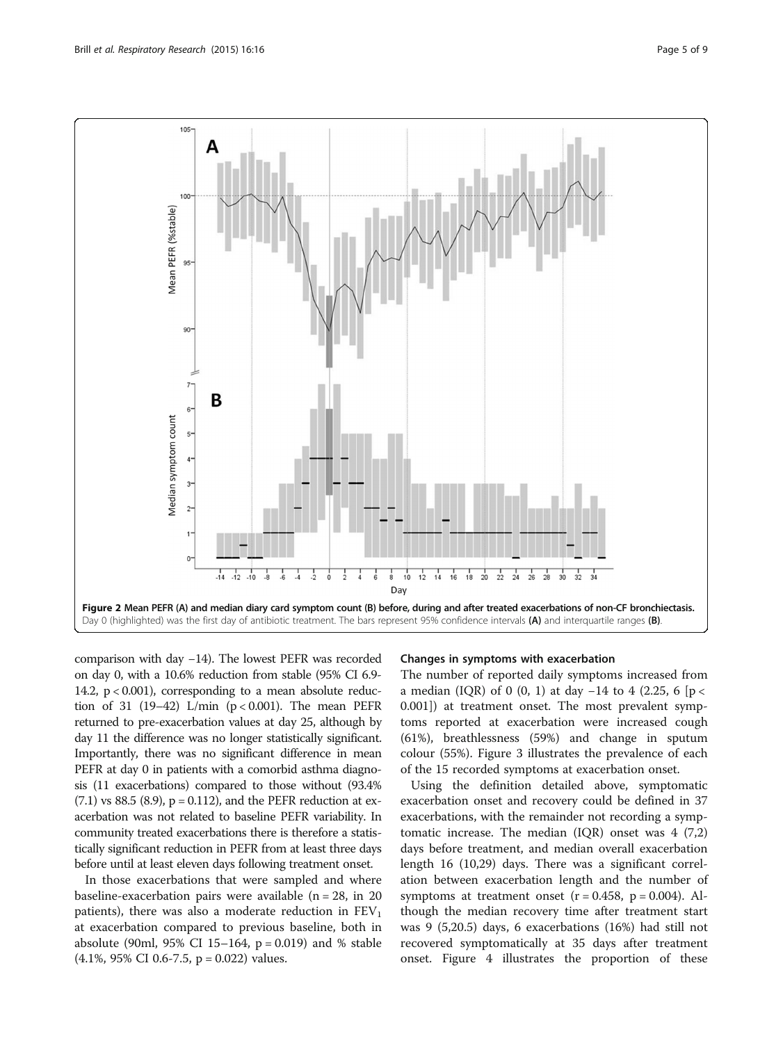<span id="page-4-0"></span>

comparison with day −14). The lowest PEFR was recorded on day 0, with a 10.6% reduction from stable (95% CI 6.9- 14.2,  $p < 0.001$ ), corresponding to a mean absolute reduction of 31 (19–42) L/min ( $p < 0.001$ ). The mean PEFR returned to pre-exacerbation values at day 25, although by day 11 the difference was no longer statistically significant. Importantly, there was no significant difference in mean PEFR at day 0 in patients with a comorbid asthma diagnosis (11 exacerbations) compared to those without (93.4%  $(7.1)$  vs 88.5  $(8.9)$ ,  $p = 0.112$ ), and the PEFR reduction at exacerbation was not related to baseline PEFR variability. In community treated exacerbations there is therefore a statistically significant reduction in PEFR from at least three days before until at least eleven days following treatment onset.

In those exacerbations that were sampled and where baseline-exacerbation pairs were available  $(n = 28, in 20)$ patients), there was also a moderate reduction in  $FEV<sub>1</sub>$ at exacerbation compared to previous baseline, both in absolute (90ml, 95% CI 15–164,  $p = 0.019$ ) and % stable  $(4.1\%, 95\% \text{ CI } 0.6-7.5, p = 0.022) \text{ values.}$ 

#### Changes in symptoms with exacerbation

The number of reported daily symptoms increased from a median (IQR) of 0 (0, 1) at day  $-14$  to 4 (2.25, 6 [p < 0.001]) at treatment onset. The most prevalent symptoms reported at exacerbation were increased cough (61%), breathlessness (59%) and change in sputum colour (55%). Figure [3](#page-5-0) illustrates the prevalence of each of the 15 recorded symptoms at exacerbation onset.

Using the definition detailed above, symptomatic exacerbation onset and recovery could be defined in 37 exacerbations, with the remainder not recording a symptomatic increase. The median  $(IQR)$  onset was  $4(7,2)$ days before treatment, and median overall exacerbation length 16 (10,29) days. There was a significant correlation between exacerbation length and the number of symptoms at treatment onset  $(r = 0.458, p = 0.004)$ . Although the median recovery time after treatment start was 9 (5,20.5) days, 6 exacerbations (16%) had still not recovered symptomatically at 35 days after treatment onset. Figure [4](#page-5-0) illustrates the proportion of these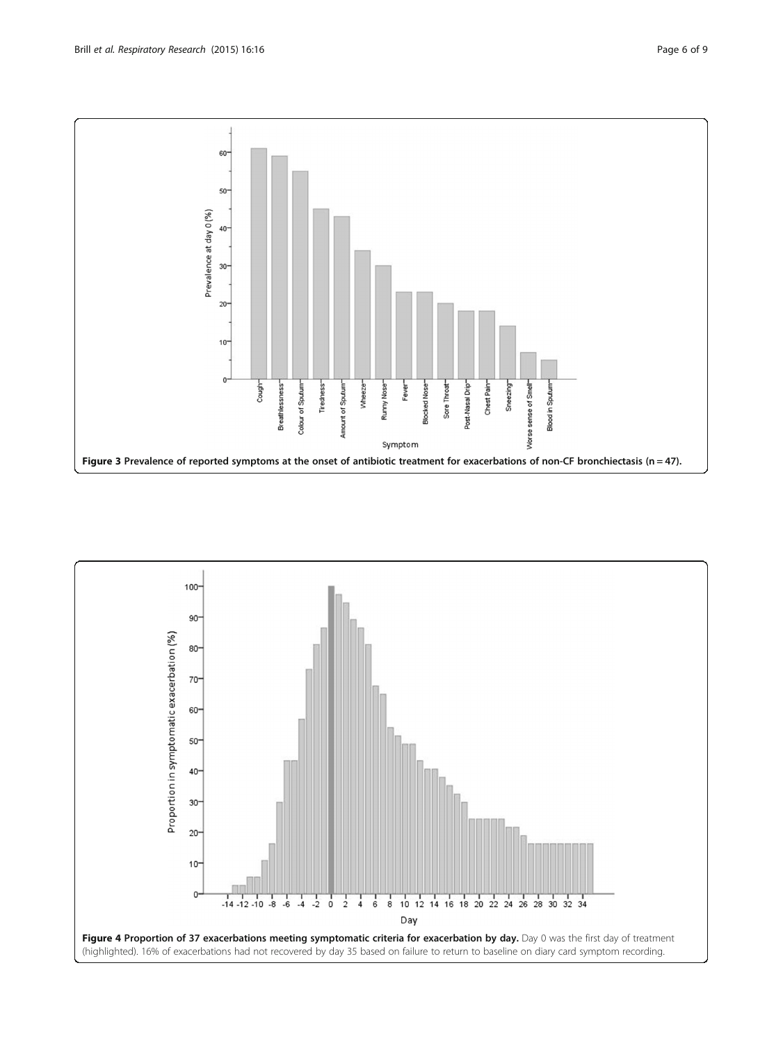<span id="page-5-0"></span>

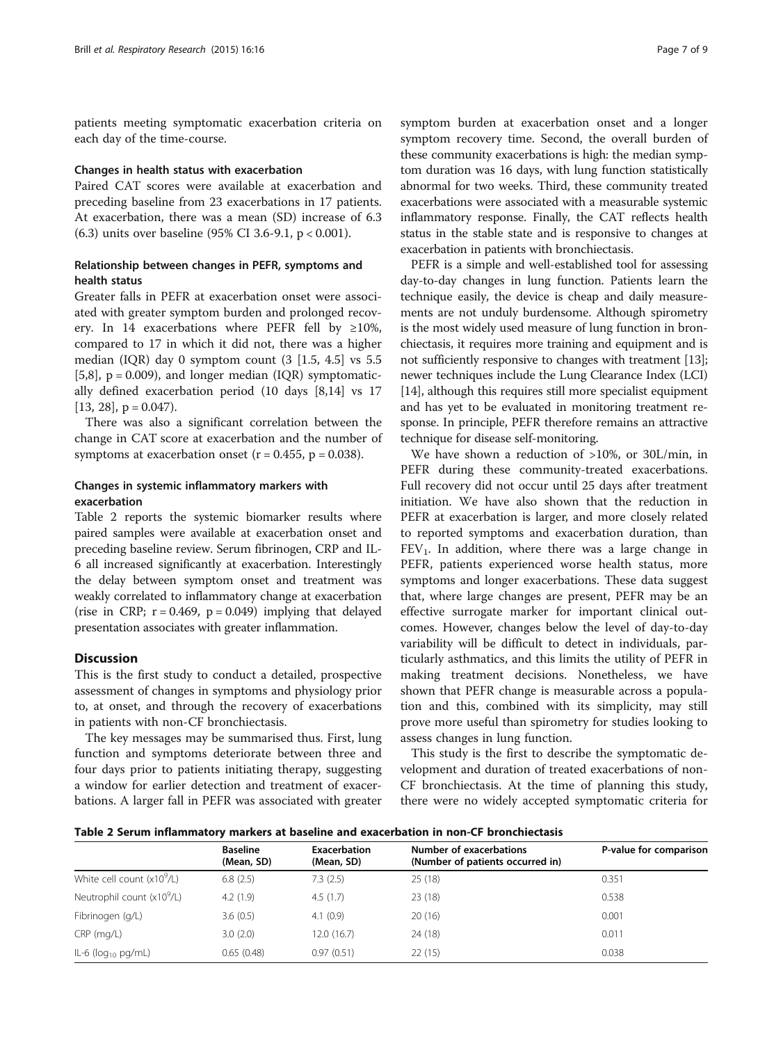patients meeting symptomatic exacerbation criteria on each day of the time-course.

#### Changes in health status with exacerbation

Paired CAT scores were available at exacerbation and preceding baseline from 23 exacerbations in 17 patients. At exacerbation, there was a mean (SD) increase of 6.3 (6.3) units over baseline (95% CI 3.6-9.1, p < 0.001).

## Relationship between changes in PEFR, symptoms and health status

Greater falls in PEFR at exacerbation onset were associated with greater symptom burden and prolonged recovery. In 14 exacerbations where PEFR fell by  $\geq 10\%$ , compared to 17 in which it did not, there was a higher median (IQR) day 0 symptom count (3 [1.5, 4.5] vs 5.5 [[5,8\]](#page-8-0),  $p = 0.009$ ), and longer median (IQR) symptomatically defined exacerbation period (10 days [\[8](#page-8-0),[14](#page-8-0)] vs 17 [13, 28],  $p = 0.047$ ).

There was also a significant correlation between the change in CAT score at exacerbation and the number of symptoms at exacerbation onset ( $r = 0.455$ ,  $p = 0.038$ ).

### Changes in systemic inflammatory markers with exacerbation

Table 2 reports the systemic biomarker results where paired samples were available at exacerbation onset and preceding baseline review. Serum fibrinogen, CRP and IL-6 all increased significantly at exacerbation. Interestingly the delay between symptom onset and treatment was weakly correlated to inflammatory change at exacerbation (rise in CRP;  $r = 0.469$ ,  $p = 0.049$ ) implying that delayed presentation associates with greater inflammation.

#### **Discussion**

This is the first study to conduct a detailed, prospective assessment of changes in symptoms and physiology prior to, at onset, and through the recovery of exacerbations in patients with non-CF bronchiectasis.

The key messages may be summarised thus. First, lung function and symptoms deteriorate between three and four days prior to patients initiating therapy, suggesting a window for earlier detection and treatment of exacerbations. A larger fall in PEFR was associated with greater

symptom burden at exacerbation onset and a longer symptom recovery time. Second, the overall burden of these community exacerbations is high: the median symptom duration was 16 days, with lung function statistically abnormal for two weeks. Third, these community treated exacerbations were associated with a measurable systemic inflammatory response. Finally, the CAT reflects health status in the stable state and is responsive to changes at exacerbation in patients with bronchiectasis.

PEFR is a simple and well-established tool for assessing day-to-day changes in lung function. Patients learn the technique easily, the device is cheap and daily measurements are not unduly burdensome. Although spirometry is the most widely used measure of lung function in bronchiectasis, it requires more training and equipment and is not sufficiently responsive to changes with treatment [[13](#page-8-0)]; newer techniques include the Lung Clearance Index (LCI) [[14](#page-8-0)], although this requires still more specialist equipment and has yet to be evaluated in monitoring treatment response. In principle, PEFR therefore remains an attractive technique for disease self-monitoring.

We have shown a reduction of >10%, or 30L/min, in PEFR during these community-treated exacerbations. Full recovery did not occur until 25 days after treatment initiation. We have also shown that the reduction in PEFR at exacerbation is larger, and more closely related to reported symptoms and exacerbation duration, than  $FEV<sub>1</sub>$ . In addition, where there was a large change in PEFR, patients experienced worse health status, more symptoms and longer exacerbations. These data suggest that, where large changes are present, PEFR may be an effective surrogate marker for important clinical outcomes. However, changes below the level of day-to-day variability will be difficult to detect in individuals, particularly asthmatics, and this limits the utility of PEFR in making treatment decisions. Nonetheless, we have shown that PEFR change is measurable across a population and this, combined with its simplicity, may still prove more useful than spirometry for studies looking to assess changes in lung function.

This study is the first to describe the symptomatic development and duration of treated exacerbations of non-CF bronchiectasis. At the time of planning this study, there were no widely accepted symptomatic criteria for

Table 2 Serum inflammatory markers at baseline and exacerbation in non-CF bronchiectasis

|                                        | <b>Baseline</b><br><b>Exacerbation</b><br>(Mean, SD)<br>(Mean, SD) |            | Number of exacerbations<br>(Number of patients occurred in) | P-value for comparison |  |
|----------------------------------------|--------------------------------------------------------------------|------------|-------------------------------------------------------------|------------------------|--|
| White cell count $(x109/L)$            | 6.8(2.5)                                                           | 7.3(2.5)   | 25(18)                                                      | 0.351                  |  |
| Neutrophil count (x10 <sup>9</sup> /L) | 4.2(1.9)                                                           | 4.5(1.7)   | 23 (18)                                                     | 0.538                  |  |
| Fibrinogen (g/L)                       | 3.6(0.5)                                                           | 4.1(0.9)   | 20(16)                                                      | 0.001                  |  |
| $CRP$ (mg/L)                           | 3.0(2.0)                                                           | 12.0(16.7) | 24 (18)                                                     | 0.011                  |  |
| $IL-6$ ( $log_{10}$ pg/mL)             | 0.65(0.48)                                                         | 0.97(0.51) | 22(15)                                                      | 0.038                  |  |
|                                        |                                                                    |            |                                                             |                        |  |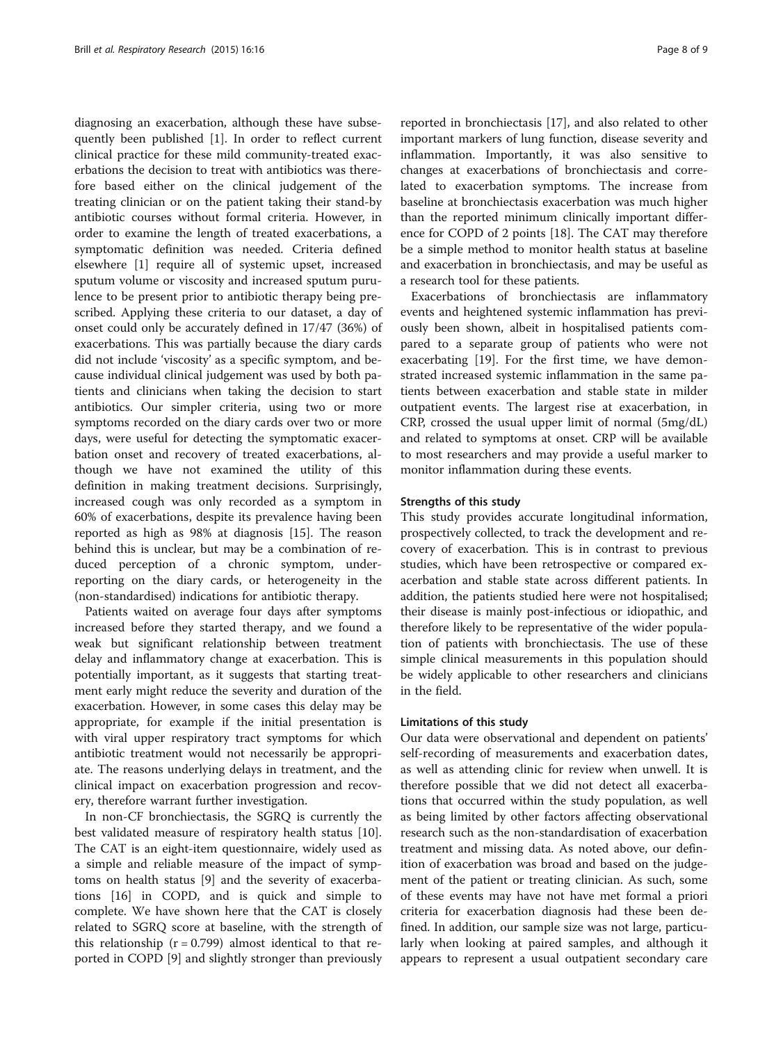diagnosing an exacerbation, although these have subsequently been published [[1\]](#page-8-0). In order to reflect current clinical practice for these mild community-treated exacerbations the decision to treat with antibiotics was therefore based either on the clinical judgement of the treating clinician or on the patient taking their stand-by antibiotic courses without formal criteria. However, in order to examine the length of treated exacerbations, a symptomatic definition was needed. Criteria defined elsewhere [\[1](#page-8-0)] require all of systemic upset, increased sputum volume or viscosity and increased sputum purulence to be present prior to antibiotic therapy being prescribed. Applying these criteria to our dataset, a day of onset could only be accurately defined in 17/47 (36%) of exacerbations. This was partially because the diary cards did not include 'viscosity' as a specific symptom, and because individual clinical judgement was used by both patients and clinicians when taking the decision to start antibiotics. Our simpler criteria, using two or more symptoms recorded on the diary cards over two or more days, were useful for detecting the symptomatic exacerbation onset and recovery of treated exacerbations, although we have not examined the utility of this definition in making treatment decisions. Surprisingly, increased cough was only recorded as a symptom in 60% of exacerbations, despite its prevalence having been reported as high as 98% at diagnosis [\[15](#page-8-0)]. The reason behind this is unclear, but may be a combination of reduced perception of a chronic symptom, underreporting on the diary cards, or heterogeneity in the (non-standardised) indications for antibiotic therapy.

Patients waited on average four days after symptoms increased before they started therapy, and we found a weak but significant relationship between treatment delay and inflammatory change at exacerbation. This is potentially important, as it suggests that starting treatment early might reduce the severity and duration of the exacerbation. However, in some cases this delay may be appropriate, for example if the initial presentation is with viral upper respiratory tract symptoms for which antibiotic treatment would not necessarily be appropriate. The reasons underlying delays in treatment, and the clinical impact on exacerbation progression and recovery, therefore warrant further investigation.

In non-CF bronchiectasis, the SGRQ is currently the best validated measure of respiratory health status [\[10](#page-8-0)]. The CAT is an eight-item questionnaire, widely used as a simple and reliable measure of the impact of symptoms on health status [[9\]](#page-8-0) and the severity of exacerbations [\[16](#page-8-0)] in COPD, and is quick and simple to complete. We have shown here that the CAT is closely related to SGRQ score at baseline, with the strength of this relationship  $(r = 0.799)$  almost identical to that reported in COPD [\[9](#page-8-0)] and slightly stronger than previously

reported in bronchiectasis [[17](#page-8-0)], and also related to other important markers of lung function, disease severity and inflammation. Importantly, it was also sensitive to changes at exacerbations of bronchiectasis and correlated to exacerbation symptoms. The increase from baseline at bronchiectasis exacerbation was much higher than the reported minimum clinically important difference for COPD of 2 points [[18](#page-8-0)]. The CAT may therefore be a simple method to monitor health status at baseline and exacerbation in bronchiectasis, and may be useful as a research tool for these patients.

Exacerbations of bronchiectasis are inflammatory events and heightened systemic inflammation has previously been shown, albeit in hospitalised patients compared to a separate group of patients who were not exacerbating [\[19](#page-8-0)]. For the first time, we have demonstrated increased systemic inflammation in the same patients between exacerbation and stable state in milder outpatient events. The largest rise at exacerbation, in CRP, crossed the usual upper limit of normal (5mg/dL) and related to symptoms at onset. CRP will be available to most researchers and may provide a useful marker to monitor inflammation during these events.

#### Strengths of this study

This study provides accurate longitudinal information, prospectively collected, to track the development and recovery of exacerbation. This is in contrast to previous studies, which have been retrospective or compared exacerbation and stable state across different patients. In addition, the patients studied here were not hospitalised; their disease is mainly post-infectious or idiopathic, and therefore likely to be representative of the wider population of patients with bronchiectasis. The use of these simple clinical measurements in this population should be widely applicable to other researchers and clinicians in the field.

### Limitations of this study

Our data were observational and dependent on patients' self-recording of measurements and exacerbation dates, as well as attending clinic for review when unwell. It is therefore possible that we did not detect all exacerbations that occurred within the study population, as well as being limited by other factors affecting observational research such as the non-standardisation of exacerbation treatment and missing data. As noted above, our definition of exacerbation was broad and based on the judgement of the patient or treating clinician. As such, some of these events may have not have met formal a priori criteria for exacerbation diagnosis had these been defined. In addition, our sample size was not large, particularly when looking at paired samples, and although it appears to represent a usual outpatient secondary care